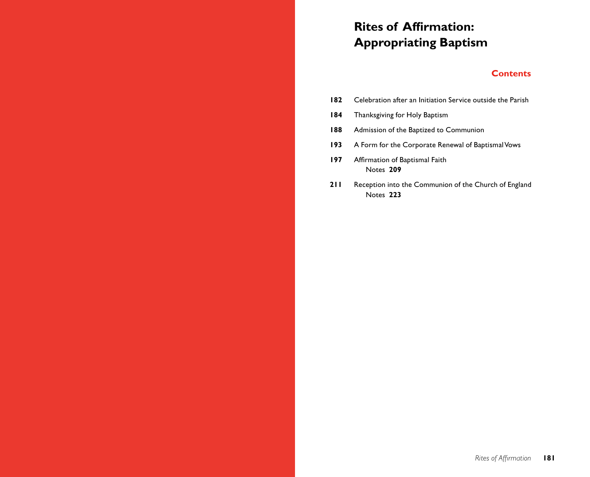# **Rites of Affirmation: Appropriating Baptism**

# **Contents**

| 182 | Celebration after an Initiation Service outside the Parish         |
|-----|--------------------------------------------------------------------|
| 184 | Thanksgiving for Holy Baptism                                      |
| 188 | Admission of the Baptized to Communion                             |
| 193 | A Form for the Corporate Renewal of Baptismal Vows                 |
| 197 | Affirmation of Baptismal Faith<br>Notes 209                        |
| 211 | Reception into the Communion of the Church of England<br>Notes 223 |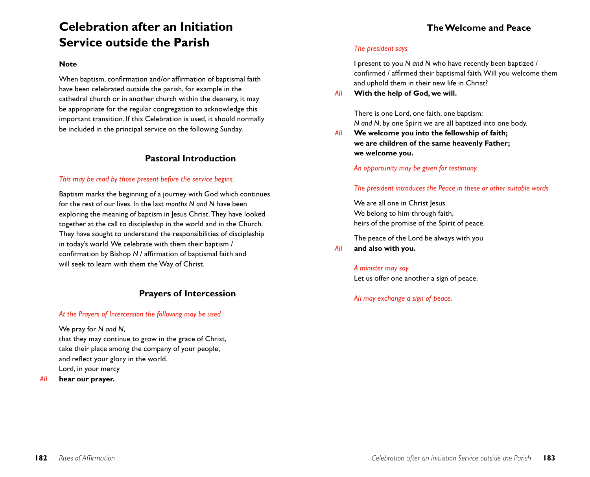# **Celebration after an Initiation Service outside the Parish**

#### **Note**

When baptism, confirmation and/or affirmation of baptismal faith have been celebrated outside the parish, for example in the cathedral church or in another church within the deanery, it may be appropriate for the regular congregation to acknowledge this important transition. If this Celebration is used, it should normally be included in the principal service on the following Sunday.

### **Pastoral Introduction**

#### *This may be read by those present before the service begins.*

Baptism marks the beginning of a journey with God which continues for the rest of our lives. In the last *months N and N* have been exploring the meaning of baptism in Jesus Christ. They have looked together at the call to discipleship in the world and in the Church. They have sought to understand the responsibilities of discipleship in today's world.We celebrate with them their baptism / confirmation by Bishop *N* / affirmation of baptismal faith and will seek to learn with them the Way of Christ.

## **Prayers of Intercession**

#### *At the Prayers of Intercession the following may be used*

We pray for *N and N*, that they may continue to grow in the grace of Christ, take their place among the company of your people, and reflect your glory in the world. Lord, in your mercy

*All* **hear our prayer.**

#### *The president says*

I present to you *N and N* who have recently been baptized / confirmed / affirmed their baptismal faith.Will you welcome them and uphold them in their new life in Christ?

*All* **With the help of God, we will.**

There is one Lord, one faith, one baptism: *N and N*, by one Spirit we are all baptized into one body.

*All* **We welcome you into the fellowship of faith; we are children of the same heavenly Father; we welcome you.**

*An opportunity may be given for testimony.*

#### *The president introduces the Peace in these or other suitable words*

We are all one in Christ Jesus. We belong to him through faith, heirs of the promise of the Spirit of peace.

The peace of the Lord be always with you

*All* **and also with you.**

#### *A minister may say*

Let us offer one another a sign of peace.

*All may exchange a sign of peace.*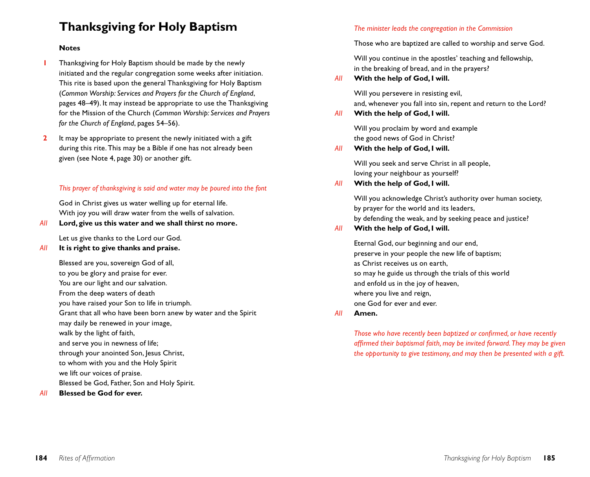# **Thanksgiving for Holy Baptism**

#### **Notes**

- **1** Thanksgiving for Holy Baptism should be made by the newly initiated and the regular congregation some weeks after initiation. This rite is based upon the general Thanksgiving for Holy Baptism (*Common Worship: Services and Prayers for the Church of England*, pages 48–49). It may instead be appropriate to use the Thanksgiving for the Mission of the Church (*Common Worship: Services and Prayers for the Church of England*, pages 54–56).
- **2** It may be appropriate to present the newly initiated with a gift during this rite. This may be a Bible if one has not already been given (see Note 4, page 30) or another gift.

#### *This prayer of thanksgiving is said and water may be poured into the font*

God in Christ gives us water welling up for eternal life. With joy you will draw water from the wells of salvation.

*All* **Lord, give us this water and we shall thirst no more.**

Let us give thanks to the Lord our God.

#### *All* **It is right to give thanks and praise.**

Blessed are you, sovereign God of all, to you be glory and praise for ever. You are our light and our salvation. From the deep waters of death you have raised your Son to life in triumph. Grant that all who have been born anew by water and the Spirit may daily be renewed in your image, walk by the light of faith, and serve you in newness of life; through your anointed Son, Jesus Christ, to whom with you and the Holy Spirit we lift our voices of praise. Blessed be God, Father, Son and Holy Spirit.

#### *All* **Blessed be God for ever.**

#### *The minister leads the congregation in the Commission*

Those who are baptized are called to worship and serve God.

Will you continue in the apostles' teaching and fellowship, in the breaking of bread, and in the prayers?

#### *All* **With the help of God, I will.**

Will you persevere in resisting evil, and, whenever you fall into sin, repent and return to the Lord?

*All* **With the help of God, I will.**

Will you proclaim by word and example the good news of God in Christ?

#### *All* **With the help of God, I will.**

Will you seek and serve Christ in all people, loving your neighbour as yourself?

## *All* **With the help of God, I will.**

Will you acknowledge Christ's authority over human society, by prayer for the world and its leaders, by defending the weak, and by seeking peace and justice?

#### *All* **With the help of God,I will.**

Eternal God, our beginning and our end, preserve in your people the new life of baptism; as Christ receives us on earth, so may he guide us through the trials of this world and enfold us in the joy of heaven, where you live and reign, one God for ever and ever.

#### *All* **Amen.**

*Those who have recently been baptized or confirmed, or have recently affirmed their baptismal faith, may be invited forward. They may be given the opportunity to give testimony, and may then be presented with a gift.*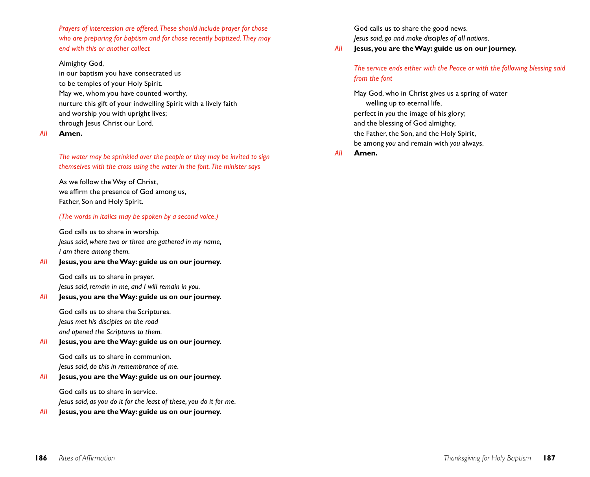*Prayers of intercession are offered. These should include prayer for those who are preparing for baptism and for those recently baptized. They may end with this or another collect*

#### Almighty God,

in our baptism you have consecrated us to be temples of your Holy Spirit. May we, whom you have counted worthy, nurture this gift of your indwelling Spirit with a lively faith and worship you with upright lives; through Jesus Christ our Lord.

#### *All* **Amen.**

*The water may be sprinkled over the people or they may be invited to sign themselves with the cross using the water in the font. The minister says*

As we follow the Way of Christ, we affirm the presence of God among us, Father, Son and Holy Spirit.

#### *(The words in italics may be spoken by a second voice.)*

God calls us to share in worship. *Jesus said, where two or three are gathered in my name, I am there among them.*

### *All* **Jesus, you are the Way: guide us on our journey.**

God calls us to share in prayer. *Jesus said, remain in me, and I will remain in you.*

### *All* **Jesus, you are the Way: guide us on our journey.**

God calls us to share the Scriptures. *Jesus met his disciples on the road and opened the Scriptures to them.*

#### *All* **Jesus, you are the Way: guide us on our journey.**

God calls us to share in communion. *Jesus said, do this in remembrance of me.*

#### *All* **Jesus, you are the Way: guide us on our journey.**

God calls us to share in service. *Jesus said, as you do it for the least of these, you do it for me.*

### *All* **Jesus, you are the Way: guide us on our journey.**

God calls us to share the good news. *Jesus said, go and make disciples of all nations.*

### *All* **Jesus, you are the Way: guide us on our journey.**

*The service ends either with the Peace or with the following blessing said from the font*

May God, who in Christ gives us a spring of water welling up to eternal life, perfect in *you* the image of his glory; and the blessing of God almighty, the Father, the Son, and the Holy Spirit, be among *you* and remain with *you* always. *All* **Amen.**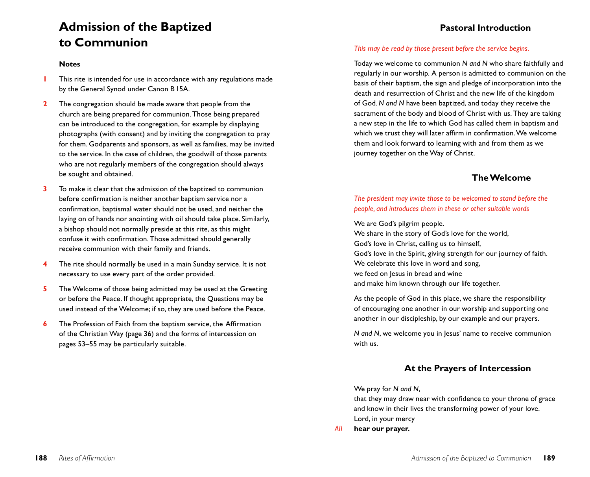# **Admission of the Baptized to Communion**

#### **Notes**

- **1** This rite is intended for use in accordance with any regulations made by the General Synod under Canon B 15A.
- **2** The congregation should be made aware that people from the church are being prepared for communion. Those being prepared can be introduced to the congregation, for example by displaying photographs (with consent) and by inviting the congregation to pray for them. Godparents and sponsors, as well as families, may be invited to the service. In the case of children, the goodwill of those parents who are not regularly members of the congregation should always be sought and obtained.
- **3** To make it clear that the admission of the baptized to communion before confirmation is neither another baptism service nor a confirmation, baptismal water should not be used, and neither the laying on of hands nor anointing with oil should take place. Similarly, a bishop should not normally preside at this rite, as this might confuse it with confirmation.Those admitted should generally receive communion with their family and friends.
- **4** The rite should normally be used in a main Sunday service. It is not necessary to use every part of the order provided.
- **5** The Welcome of those being admitted may be used at the Greeting or before the Peace. If thought appropriate, the Questions may be used instead of the Welcome; if so, they are used before the Peace.
- **6** The Profession of Faith from the baptism service, the Affirmation of the Christian Way (page 36) and the forms of intercession on pages 53–55 may be particularly suitable.

# **Pastoral Introduction**

#### *This may be read by those present before the service begins.*

Today we welcome to communion *N and N* who share faithfully and regularly in our worship. A person is admitted to communion on the basis of their baptism, the sign and pledge of incorporation into the death and resurrection of Christ and the new life of the kingdom of God.*N and N* have been baptized, and today they receive the sacrament of the body and blood of Christ with us. They are taking a new step in the life to which God has called them in baptism and which we trust they will later affirm in confirmation.We welcome them and look forward to learning with and from them as we journey together on the Way of Christ.

## **The Welcome**

*The president may invite those to be welcomed to stand before the people, and introduces them in these or other suitable words*

We are God's pilgrim people. We share in the story of God's love for the world, God's love in Christ, calling us to himself, God's love in the Spirit, giving strength for our journey of faith. We celebrate this love in word and song, we feed on Jesus in bread and wine and make him known through our life together.

As the people of God in this place, we share the responsibility of encouraging one another in our worship and supporting one another in our discipleship, by our example and our prayers.

*N and N*, we welcome you in Jesus' name to receive communion with us.

## **At the Prayers of Intercession**

#### We pray for *N and N*,

that they may draw near with confidence to your throne of grace and know in their lives the transforming power of your love. Lord, in your mercy

*All* **hear our prayer.**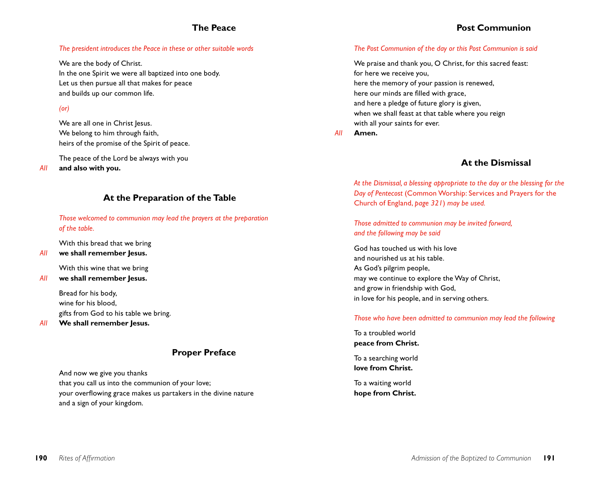## **The Peace**

# **Post Communion**

#### *The president introduces the Peace in these or other suitable words*

We are the body of Christ. In the one Spirit we were all baptized into one body. Let us then pursue all that makes for peace and builds up our common life.

### *(or)*

We are all one in Christ lesus. We belong to him through faith, heirs of the promise of the Spirit of peace.

The peace of the Lord be always with you

*All* **and also with you.**

## **At the Preparation of the Table**

*Those welcomed to communion may lead the prayers at the preparation of the table.*

With this bread that we bring

*All* **we shall remember Jesus.**

With this wine that we bring

*All* **we shall remember Jesus.**

Bread for his body, wine for his blood, gifts from God to his table we bring.

*All* **We shall remember Jesus.**

## **Proper Preface**

And now we give you thanks that you call us into the communion of your love; your overflowing grace makes us partakers in the divine nature and a sign of your kingdom.

#### *The Post Communion of the day or this Post Communion is said*

We praise and thank you, O Christ, for this sacred feast: for here we receive you, here the memory of your passion is renewed, here our minds are filled with grace, and here a pledge of future glory is given, when we shall feast at that table where you reign with all your saints for ever.

*All* **Amen.**

## **At the Dismissal**

*At the Dismissal, a blessing appropriate to the day or the blessing for the Day of Pentecost* (Common Worship: Services and Prayers for the Church of England, *page 321*) *may be used.*

*Those admitted to communion may be invited forward, and the following may be said*

God has touched us with his love and nourished us at his table. As God's pilgrim people, may we continue to explore the Way of Christ, and grow in friendship with God, in love for his people, and in serving others.

#### *Those who have been admitted to communion may lead the following*

To a troubled world **peace from Christ.**

To a searching world **love from Christ.**

To a waiting world **hope from Christ.**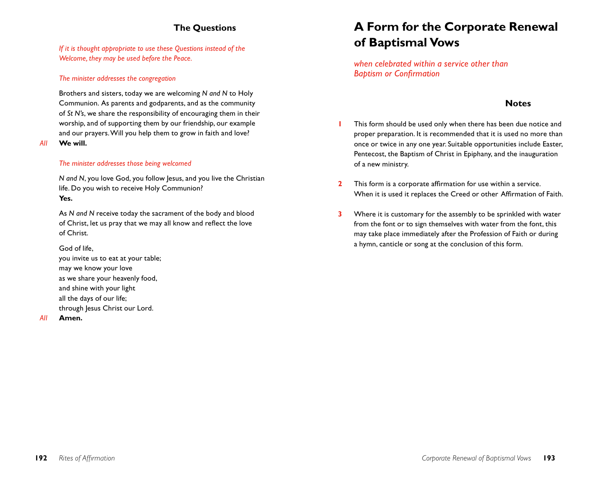# **The Questions**

*If it is thought appropriate to use these Questions instead of the Welcome, they may be used before the Peace.*

### *The minister addresses the congregation*

Brothers and sisters, today we are welcoming *N and N* to Holy Communion. As parents and godparents, and as the community of *St N's*, we share the responsibility of encouraging them in their worship, and of supporting them by our friendship, our example and our prayers.Will you help them to grow in faith and love?

#### *All* **We will.**

### *The minister addresses those being welcomed*

*N and N*, you love God, you follow Jesus, and you live the Christian life. Do you wish to receive Holy Communion? **Yes.**

As *N and N* receive today the sacrament of the body and blood of Christ, let us pray that we may all know and reflect the love of Christ.

God of life,

you invite us to eat at your table; may we know your love as we share your heavenly food, and shine with your light all the days of our life; through Jesus Christ our Lord.

*All* **Amen.**

# **A Form for the Corporate Renewal of Baptismal Vows**

*when celebrated within a service other than Baptism or Confirmation*

# **Notes**

- **1** This form should be used only when there has been due notice and proper preparation. It is recommended that it is used no more than once or twice in any one year. Suitable opportunities include Easter, Pentecost, the Baptism of Christ in Epiphany, and the inauguration of a new ministry.
- **2** This form is a corporate affirmation for use within a service. When it is used it replaces the Creed or other Affirmation of Faith.
- **3** Where it is customary for the assembly to be sprinkled with water from the font or to sign themselves with water from the font, this may take place immediately after the Profession of Faith or during a hymn, canticle or song at the conclusion of this form.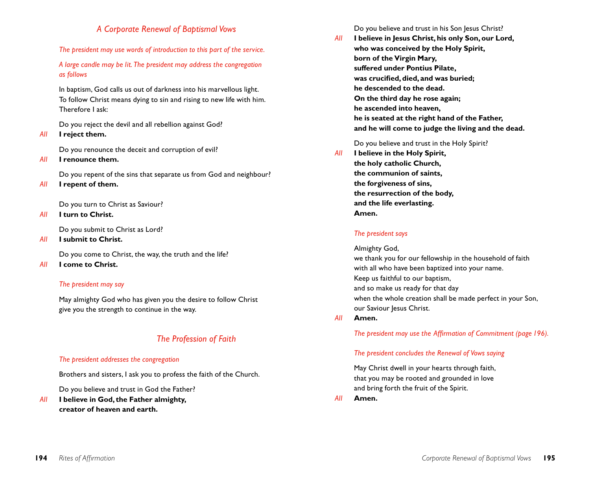## *A Corporate Renewal of Baptismal Vows*

*The president may use words of introduction to this part of the service.*

*A large candle may be lit. The president may address the congregation as follows*

In baptism, God calls us out of darkness into his marvellous light. To follow Christ means dying to sin and rising to new life with him. Therefore I ask:

Do you reject the devil and all rebellion against God?

#### *All* **I reject them.**

Do you renounce the deceit and corruption of evil?

*All* **I renounce them.**

Do you repent of the sins that separate us from God and neighbour?

*All* **I repent of them.**

Do you turn to Christ as Saviour?

*All* **I turn to Christ.**

Do you submit to Christ as Lord?

#### *All* **I submit to Christ.**

Do you come to Christ, the way, the truth and the life?

*All* **I come to Christ.**

## *The president may say*

May almighty God who has given you the desire to follow Christ give you the strength to continue in the way.

# *The Profession of Faith*

### *The president addresses the congregation*

Brothers and sisters, I ask you to profess the faith of the Church.

Do you believe and trust in God the Father?

*All* **I believe in God, the Father almighty, creator of heaven and earth.**

Do you believe and trust in his Son Jesus Christ?

*All* **I believe in Jesus Christ, his only Son, our Lord, who was conceived by the Holy Spirit, born of the Virgin Mary, suffered under Pontius Pilate, was crucified, died, and was buried; he descended to the dead. On the third day he rose again; he ascended into heaven, he is seated at the right hand of the Father, and he will come to judge the living and the dead.**

Do you believe and trust in the Holy Spirit?

*All* **I believe in the Holy Spirit, the holy catholic Church, the communion of saints, the forgiveness of sins, the resurrection of the body, and the life everlasting. Amen.**

## *The president says*

Almighty God, we thank you for our fellowship in the household of faith with all who have been baptized into your name. Keep us faithful to our baptism, and so make us ready for that day when the whole creation shall be made perfect in your Son, our Saviour Jesus Christ.

### *All* **Amen.**

*The president may use the Affirmation of Commitment (page 196).*

### *The president concludes the Renewal of Vows saying*

May Christ dwell in your hearts through faith, that you may be rooted and grounded in love and bring forth the fruit of the Spirit.

*All* **Amen.**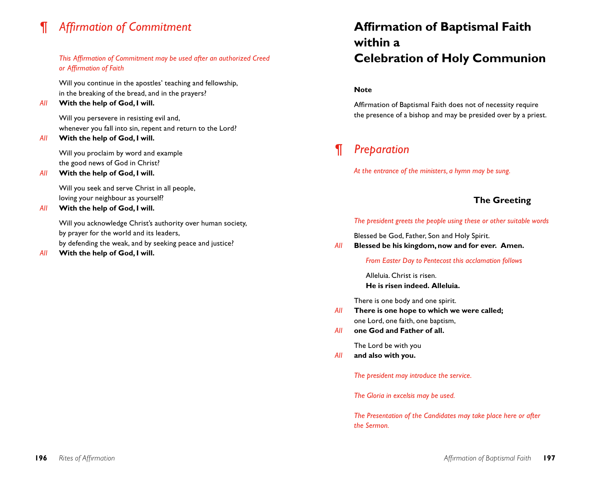# ¶ *Affirmation of Commitment*

*This Affirmation of Commitment may be used after an authorized Creed or Affirmation of Faith*

Will you continue in the apostles' teaching and fellowship, in the breaking of the bread, and in the prayers?

#### *All* **With the help of God, I will.**

Will you persevere in resisting evil and, whenever you fall into sin, repent and return to the Lord?

#### *All* **With the help of God, I will.**

Will you proclaim by word and example the good news of God in Christ?

#### *All* **With the help of God, I will.**

Will you seek and serve Christ in all people, loving your neighbour as yourself?

#### *All* **With the help of God, I will.**

Will you acknowledge Christ's authority over human society, by prayer for the world and its leaders, by defending the weak, and by seeking peace and justice?

*All* **With the help of God, I will.**

# **Affirmation of Baptismal Faith within a Celebration of Holy Communion**

#### **Note**

Affirmation of Baptismal Faith does not of necessity require the presence of a bishop and may be presided over by a priest.

# ¶ *Preparation*

*At the entrance of the ministers, a hymn may be sung.*

# **The Greeting**

#### *The president greets the people using these or other suitable words*

Blessed be God, Father, Son and Holy Spirit.

*All* **Blessed be his kingdom, now and for ever. Amen.**

#### *From Easter Day to Pentecost this acclamation follows*

Alleluia. Christ is risen. **He is risen indeed. Alleluia.**

There is one body and one spirit.

- *All* **There is one hope to which we were called;** one Lord, one faith, one baptism,
- *All* **one God and Father of all.**

The Lord be with you

*All* **and also with you.**

*The president may introduce the service.*

*The Gloria in excelsis may be used.*

*The Presentation of the Candidates may take place here or after the Sermon.*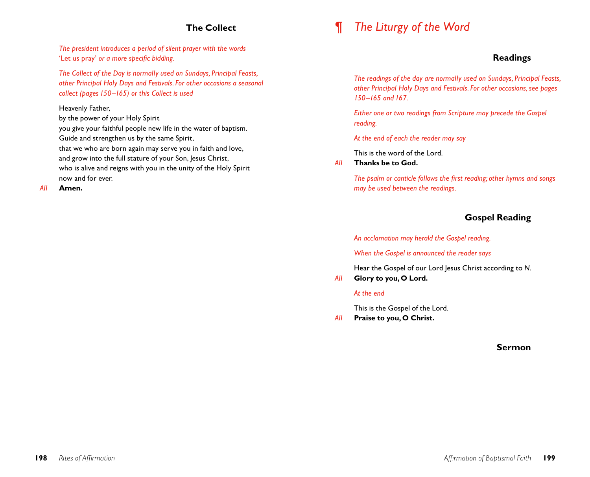# **The Collect**

*The president introduces a period of silent prayer with the words*  'Let us pray' *or a more specific bidding.*

*The Collect of the Day is normally used on Sundays, Principal Feasts, other Principal Holy Days and Festivals. For other occasions a seasonal collect (pages 150–165) or this Collect is used*

#### Heavenly Father,

by the power of your Holy Spirit you give your faithful people new life in the water of baptism. Guide and strengthen us by the same Spirit, that we who are born again may serve you in faith and love, and grow into the full stature of your Son, Jesus Christ, who is alive and reigns with you in the unity of the Holy Spirit now and for ever.

#### *All* **Amen.**

# ¶ *The Liturgy of the Word*

## **Readings**

*The readings of the day are normally used on Sundays, Principal Feasts, other Principal Holy Days and Festivals. For other occasions, see pages 150–165 and 167.*

*Either one or two readings from Scripture may precede the Gospel reading.*

*At the end of each the reader may say* 

This is the word of the Lord.

### *All* **Thanks be to God.**

*The psalm or canticle follows the first reading; other hymns and songs may be used between the readings.*

# **Gospel Reading**

*An acclamation may herald the Gospel reading.*

*When the Gospel is announced the reader says*

Hear the Gospel of our Lord Jesus Christ according to *N*.

*All* **Glory to you, O Lord.**

#### *At the end*

This is the Gospel of the Lord.

*All* **Praise to you, O Christ.**

## **Sermon**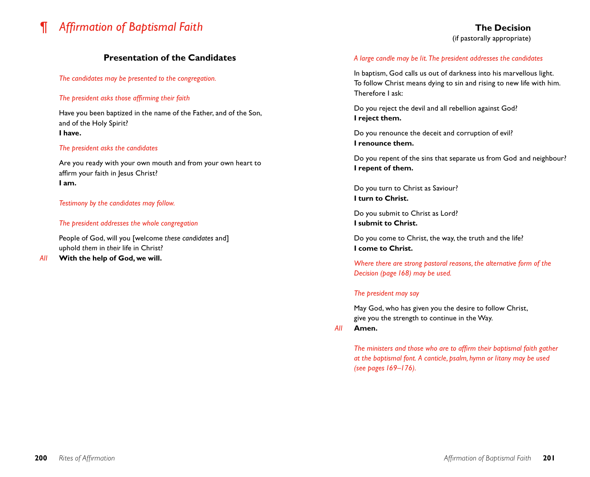# ¶ *Affirmation of Baptismal Faith*

# **Presentation of the Candidates**

*The candidates may be presented to the congregation.*

#### *The president asks those affirming their faith*

Have you been baptized in the name of the Father, and of the Son, and of the Holy Spirit? **I have.**

#### *The president asks the candidates*

Are you ready with your own mouth and from your own heart to affirm your faith in Jesus Christ? **I am.**

#### *Testimony by the candidates may follow.*

#### *The president addresses the whole congregation*

People of God, will you [welcome *these candidates* and] uphold *them* in *their* life in Christ?

*All* **With the help of God, we will.**

## *A large candle may be lit. The president addresses the candidates*

In baptism, God calls us out of darkness into his marvellous light. To follow Christ means dying to sin and rising to new life with him. Therefore I ask:

Do you reject the devil and all rebellion against God? **I reject them.**

Do you renounce the deceit and corruption of evil? **I renounce them.**

Do you repent of the sins that separate us from God and neighbour? **I repent of them.**

Do you turn to Christ as Saviour? **I turn to Christ.**

Do you submit to Christ as Lord? **I submit to Christ.**

Do you come to Christ, the way, the truth and the life? **I come to Christ.**

*Where there are strong pastoral reasons, the alternative form of the Decision (page 168) may be used.*

#### *The president may say*

May God, who has given you the desire to follow Christ, give you the strength to continue in the Way.

*All* **Amen.**

*The ministers and those who are to affirm their baptismal faith gather at the baptismal font. A canticle, psalm, hymn or litany may be used (see pages 169–176).*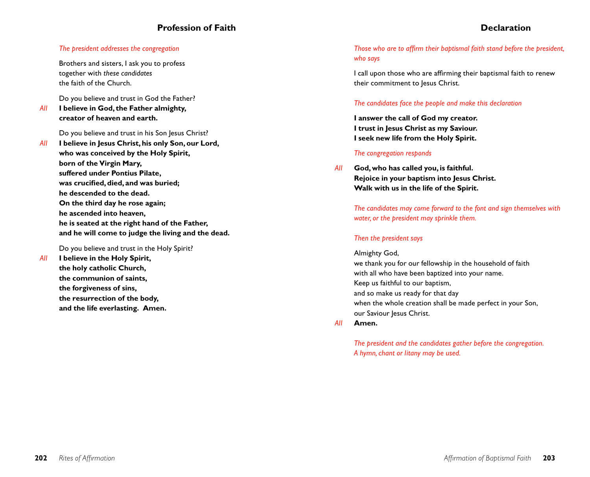# **Profession of Faith**

#### *The president addresses the congregation*

Brothers and sisters, I ask you to profess together with *these candidates* the faith of the Church.

Do you believe and trust in God the Father?

*All* **I believe in God, the Father almighty, creator of heaven and earth.**

Do you believe and trust in his Son Jesus Christ?

*All* **I believe in Jesus Christ, his only Son, our Lord, who was conceived by the Holy Spirit, born of the Virgin Mary, suffered under Pontius Pilate, was crucified, died, and was buried; he descended to the dead. On the third day he rose again; he ascended into heaven, he is seated at the right hand of the Father, and he will come to judge the living and the dead.**

Do you believe and trust in the Holy Spirit?

*All* **I believe in the Holy Spirit, the holy catholic Church, the communion of saints, the forgiveness of sins, the resurrection of the body, and the life everlasting. Amen.**

## *Those who are to affirm their baptismal faith stand before the president, who says*

I call upon those who are affirming their baptismal faith to renew their commitment to lesus Christ.

#### *The candidates face the people and make this declaration*

**I answer the call of God my creator. I trust in Jesus Christ as my Saviour. I seek new life from the Holy Spirit.**

#### *The congregation responds*

*All* **God, who has called you, is faithful. Rejoice in your baptism into Jesus Christ. Walk with us in the life of the Spirit.**

> *The candidates may come forward to the font and sign themselves with water, or the president may sprinkle them.*

#### *Then the president says*

Almighty God,

we thank you for our fellowship in the household of faith with all who have been baptized into your name. Keep us faithful to our baptism, and so make us ready for that day when the whole creation shall be made perfect in your Son, our Saviour Jesus Christ.

*All* **Amen.**

*The president and the candidates gather before the congregation. A hymn, chant or litany may be used.*

## **Declaration**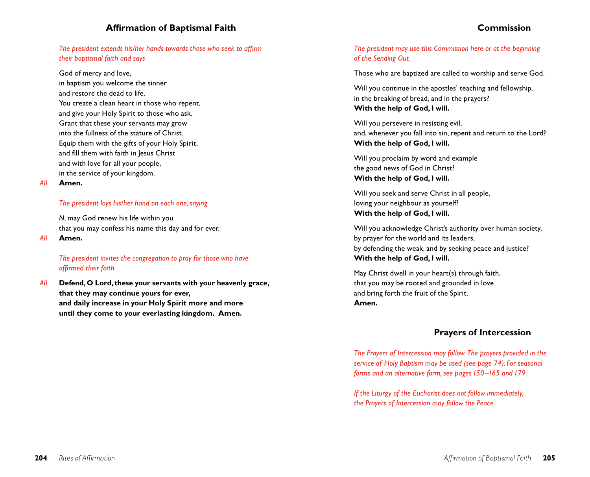# **Affirmation of Baptismal Faith**

## **Commission**

*The president extends his/her hands towards those who seek to affirm their baptismal faith and says*

God of mercy and love, in baptism you welcome the sinner and restore the dead to life. You create a clean heart in those who repent, and give your Holy Spirit to those who ask. Grant that these your servants may grow into the fullness of the stature of Christ. Equip them with the gifts of your Holy Spirit, and fill them with faith in lesus Christ and with love for all your people, in the service of your kingdom.

*All* **Amen.**

#### *The president lays his/her hand on each one, saying*

*N*, may God renew his life within you that you may confess his name this day and for ever.

*All* **Amen.**

*The president invites the congregation to pray for those who have affirmed their faith*

*All* **Defend, O Lord, these your servants with your heavenly grace, that they may continue yours for ever, and daily increase in your Holy Spirit more and more until they come to your everlasting kingdom. Amen.**

*The president may use this Commission here or at the beginning of the Sending Out.*

Those who are baptized are called to worship and serve God.

Will you continue in the apostles' teaching and fellowship, in the breaking of bread, and in the prayers? **With the help of God, I will.**

Will you persevere in resisting evil, and, whenever you fall into sin, repent and return to the Lord? **With the help of God, I will.**

Will you proclaim by word and example the good news of God in Christ? **With the help of God, I will.**

Will you seek and serve Christ in all people, loving your neighbour as yourself? **With the help of God, I will.**

Will you acknowledge Christ's authority over human society, by prayer for the world and its leaders, by defending the weak, and by seeking peace and justice? **With the help of God, I will.**

May Christ dwell in your heart(s) through faith, that you may be rooted and grounded in love and bring forth the fruit of the Spirit. **Amen.**

## **Prayers of Intercession**

*The Prayers of Intercession may follow. The prayers provided in the service of Holy Baptism may be used (see page 74). For seasonal forms and an alternative form, see pages 150–165 and 179.*

*If the Liturgy of the Eucharist does not follow immediately, the Prayers of Intercession may follow the Peace.*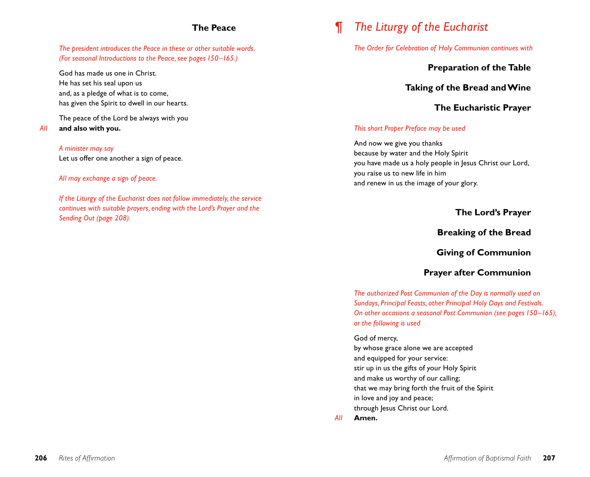## **The Peace**

*The president introduces the Peace in these or other suitable words. (For seasonal Introductions to the Peace, see pages 150–165.)*

God has made us one in Christ. He has set his seal upon us and, as a pledge of what is to come, has given the Spirit to dwell in our hearts.

The peace of the Lord be always with you

*All* **and also with you.**

#### *A minister may say*

Let us offer one another a sign of peace.

### *All may exchange a sign of peace.*

*If the Liturgy of the Eucharist does not follow immediately, the service continues with suitable prayers, ending with the Lord's Prayer and the Sending Out (page 208).*

# ¶ *The Liturgy of the Eucharist*

*The Order for Celebration of Holy Communion continues with*

**Preparation of the Table**

**Taking of the Bread and Wine**

# **The Eucharistic Prayer**

## *This short Proper Preface may be used*

And now we give you thanks because by water and the Holy Spirit you have made us a holy people in Jesus Christ our Lord, you raise us to new life in him and renew in us the image of your glory.

**The Lord's Prayer**

# **Breaking of the Bread**

**Giving of Communion**

# **Prayer after Communion**

*The authorized Post Communion of the Day is normally used on Sundays, Principal Feasts, other Principal Holy Days and Festivals. On other occasions a seasonal Post Communion (see pages 150–165), or the following is used*

God of mercy,

by whose grace alone we are accepted and equipped for your service: stir up in us the gifts of your Holy Spirit and make us worthy of our calling; that we may bring forth the fruit of the Spirit in love and joy and peace; through Jesus Christ our Lord.

*All* **Amen.**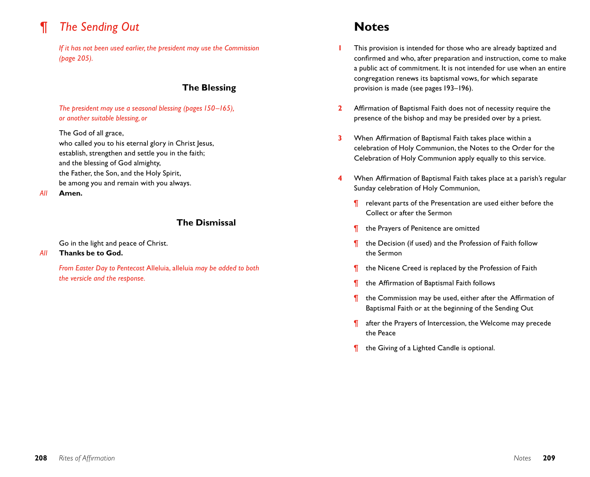# ¶ *The Sending Out*

*If it has not been used earlier, the president may use the Commission (page 205).*

# **The Blessing**

*The president may use a seasonal blessing (pages 150–165), or another suitable blessing, or*

The God of all grace,

who called you to his eternal glory in Christ Jesus, establish, strengthen and settle you in the faith; and the blessing of God almighty, the Father, the Son, and the Holy Spirit, be among you and remain with you always.

*All* **Amen.**

# **The Dismissal**

Go in the light and peace of Christ.

### *All* **Thanks be to God.**

*From Easter Day to Pentecost* Alleluia, alleluia *may be added to both the versicle and the response.*

# **Notes**

- **1** This provision is intended for those who are already baptized and confirmed and who, after preparation and instruction, come to make a public act of commitment. It is not intended for use when an entire congregation renews its baptismal vows, for which separate provision is made (see pages 193–196).
- **2** Affirmation of Baptismal Faith does not of necessity require the presence of the bishop and may be presided over by a priest.
- **3** When Affirmation of Baptismal Faith takes place within a celebration of Holy Communion, the Notes to the Order for the Celebration of Holy Communion apply equally to this service.
- **4** When Affirmation of Baptismal Faith takes place at a parish's regular Sunday celebration of Holy Communion,
	- ¶ relevant parts of the Presentation are used either before the Collect or after the Sermon
	- **T** the Prayers of Penitence are omitted
	- ¶ the Decision (if used) and the Profession of Faith follow the Sermon
	- ¶ the Nicene Creed is replaced by the Profession of Faith
	- the Affirmation of Baptismal Faith follows
	- the Commission may be used, either after the Affirmation of Baptismal Faith or at the beginning of the Sending Out
	- ¶ after the Prayers of Intercession, the Welcome may precede the Peace
	- **T** the Giving of a Lighted Candle is optional.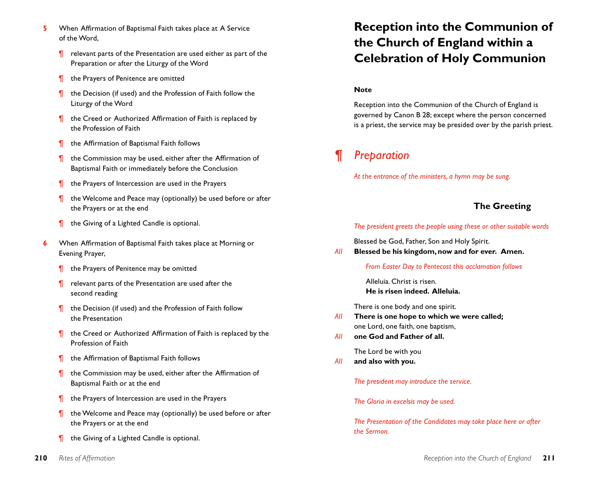- **5** When Affirmation of Baptismal Faith takes place at A Service of the Word,
	- relevant parts of the Presentation are used either as part of the Preparation or after the Liturgy of the Word
	- the Prayers of Penitence are omitted
	- ¶ the Decision (if used) and the Profession of Faith follow the Liturgy of the Word
	- ¶ the Creed or Authorized Affirmation of Faith is replaced by the Profession of Faith
	- ¶ the Affirmation of Baptismal Faith follows
	- ¶ the Commission may be used, either after the Affirmation of Baptismal Faith or immediately before the Conclusion
	- ¶ the Prayers of Intercession are used in the Prayers
	- the Welcome and Peace may (optionally) be used before or after the Prayers or at the end
	- ¶ the Giving of a Lighted Candle is optional.
- **6** When Affirmation of Baptismal Faith takes place at Morning or Evening Prayer,
	- ¶ the Prayers of Penitence may be omitted
	- ¶ relevant parts of the Presentation are used after the second reading
	- ¶ the Decision (if used) and the Profession of Faith follow the Presentation
	- ¶ the Creed or Authorized Affirmation of Faith is replaced by the Profession of Faith
	- the Affirmation of Baptismal Faith follows
	- ¶ the Commission may be used, either after the Affirmation of Baptismal Faith or at the end
	- ¶ the Prayers of Intercession are used in the Prayers
	- the Welcome and Peace may (optionally) be used before or after the Prayers or at the end
	- the Giving of a Lighted Candle is optional.

# **Reception into the Communion of the Church of England within a Celebration of Holy Communion**

### **Note**

Reception into the Communion of the Church of England is governed by Canon B 28; except where the person concerned is a priest, the service may be presided over by the parish priest.

# ¶ *Preparation*

*At the entrance of the ministers, a hymn may be sung.*

# **The Greeting**

*The president greets the people using these or other suitable words*

Blessed be God, Father, Son and Holy Spirit.

*All* **Blessed be his kingdom, now and for ever. Amen.**

*From Easter Day to Pentecost this acclamation follows*

Alleluia. Christ is risen. **He is risen indeed. Alleluia.**

There is one body and one spirit.

- *All* **There is one hope to which we were called;** one Lord, one faith, one baptism,
- *All* **one God and Father of all.**
	- The Lord be with you
- *All* **and also with you.**

*The president may introduce the service.*

*The Gloria in excelsis may be used.*

*The Presentation of the Candidates may take place here or after the Sermon.*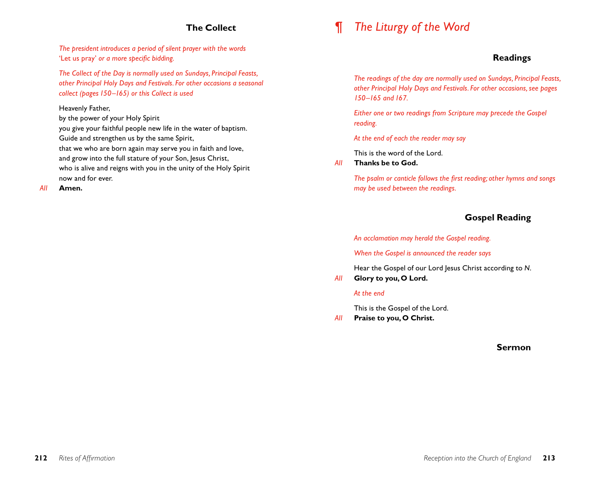# **The Collect**

*The president introduces a period of silent prayer with the words*  'Let us pray' *or a more specific bidding.*

*The Collect of the Day is normally used on Sundays, Principal Feasts, other Principal Holy Days and Festivals. For other occasions a seasonal collect (pages 150–165) or this Collect is used*

#### Heavenly Father,

by the power of your Holy Spirit you give your faithful people new life in the water of baptism. Guide and strengthen us by the same Spirit, that we who are born again may serve you in faith and love, and grow into the full stature of your Son, Jesus Christ, who is alive and reigns with you in the unity of the Holy Spirit now and for ever.

#### *All* **Amen.**

# ¶ *The Liturgy of the Word*

## **Readings**

*The readings of the day are normally used on Sundays, Principal Feasts, other Principal Holy Days and Festivals. For other occasions, see pages 150–165 and 167.*

*Either one or two readings from Scripture may precede the Gospel reading.*

*At the end of each the reader may say*

This is the word of the Lord.

*All* **Thanks be to God.**

*The psalm or canticle follows the first reading; other hymns and songs may be used between the readings.*

# **Gospel Reading**

*An acclamation may herald the Gospel reading.*

*When the Gospel is announced the reader says*

Hear the Gospel of our Lord Jesus Christ according to *N*.

*All* **Glory to you, O Lord.**

### *At the end*

This is the Gospel of the Lord.

*All* **Praise to you, O Christ.**

## **Sermon**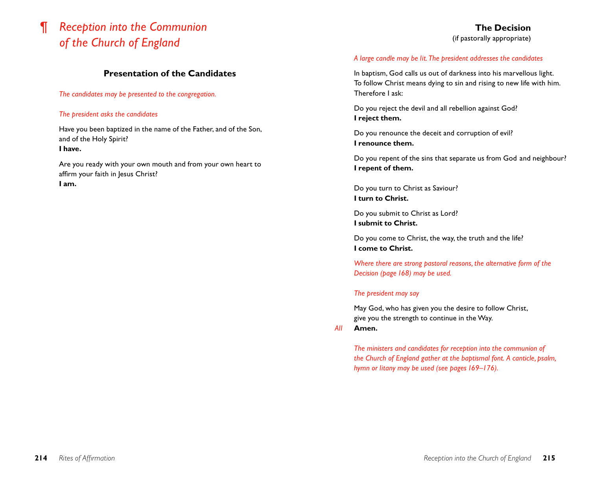# ¶ *Reception into the Communion of the Church of England*

# **Presentation of the Candidates**

*The candidates may be presented to the congregation.*

### *The president asks the candidates*

Have you been baptized in the name of the Father, and of the Son, and of the Holy Spirit? **I have.**

Are you ready with your own mouth and from your own heart to affirm your faith in Jesus Christ? **I am.**

## *A large candle may be lit. The president addresses the candidates*

In baptism, God calls us out of darkness into his marvellous light. To follow Christ means dying to sin and rising to new life with him. Therefore I ask:

Do you reject the devil and all rebellion against God? **I reject them.**

Do you renounce the deceit and corruption of evil? **I renounce them.**

Do you repent of the sins that separate us from God and neighbour? **I repent of them.**

Do you turn to Christ as Saviour? **I turn to Christ.**

Do you submit to Christ as Lord? **I submit to Christ.**

Do you come to Christ, the way, the truth and the life? **I come to Christ.**

*Where there are strong pastoral reasons, the alternative form of the Decision (page 168) may be used.*

### *The president may say*

May God, who has given you the desire to follow Christ, give you the strength to continue in the Way.

*All* **Amen.**

*The ministers and candidates for reception into the communion of the Church of England gather at the baptismal font. A canticle, psalm, hymn or litany may be used (see pages 169–176).*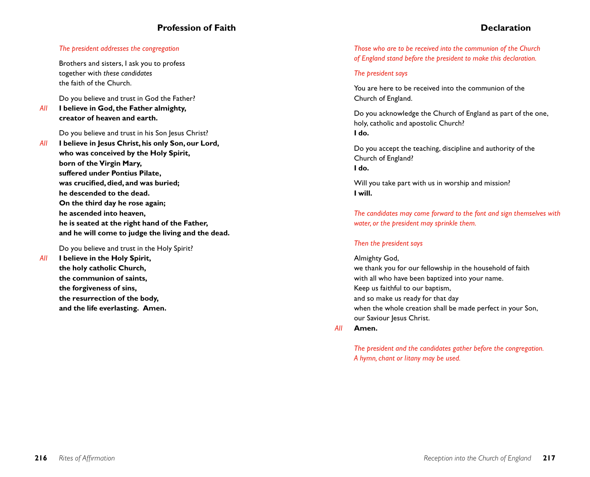# **Profession of Faith**

## **Declaration**

#### *The president addresses the congregation*

Brothers and sisters, I ask you to profess together with *these candidates* the faith of the Church.

Do you believe and trust in God the Father?

*All* **I believe in God, the Father almighty, creator of heaven and earth.**

Do you believe and trust in his Son Jesus Christ?

*All* **I believe in Jesus Christ, his only Son, our Lord, who was conceived by the Holy Spirit, born of the Virgin Mary, suffered under Pontius Pilate, was crucified, died, and was buried; he descended to the dead. On the third day he rose again; he ascended into heaven, he is seated at the right hand of the Father, and he will come to judge the living and the dead.**

Do you believe and trust in the Holy Spirit?

*All* **I believe in the Holy Spirit, the holy catholic Church, the communion of saints, the forgiveness of sins, the resurrection of the body, and the life everlasting. Amen.** *Those who are to be received into the communion of the Church of England stand before the president to make this declaration.*

#### *The president says*

You are here to be received into the communion of the Church of England.

Do you acknowledge the Church of England as part of the one, holy, catholic and apostolic Church? **I do.**

Do you accept the teaching, discipline and authority of the Church of England? **I do.**

Will you take part with us in worship and mission? **I will.**

*The candidates may come forward to the font and sign themselves with water, or the president may sprinkle them.*

#### *Then the president says*

Almighty God,

we thank you for our fellowship in the household of faith with all who have been baptized into your name. Keep us faithful to our baptism, and so make us ready for that day when the whole creation shall be made perfect in your Son, our Saviour Jesus Christ.

*All* **Amen.**

*The president and the candidates gather before the congregation. A hymn, chant or litany may be used.*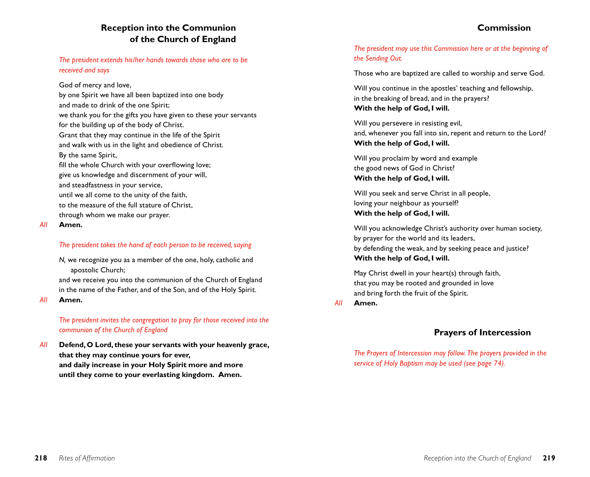# **Reception into the Communion of the Church of England**

*The president extends his/her hands towards those who are to be received and says*

God of mercy and love, by one Spirit we have all been baptized into one body and made to drink of the one Spirit; we thank you for the gifts you have given to these your servants for the building up of the body of Christ. Grant that they may continue in the life of the Spirit and walk with us in the light and obedience of Christ. By the same Spirit, fill the whole Church with your overflowing love; give us knowledge and discernment of your will, and steadfastness in your service, until we all come to the unity of the faith, to the measure of the full stature of Christ, through whom we make our prayer.

#### *All* **Amen.**

#### *The president takes the hand of each person to be received, saying*

*N,* we recognize you as a member of the one, holy, catholic and apostolic Church;

and we receive you into the communion of the Church of England in the name of the Father, and of the Son, and of the Holy Spirit.

*All* **Amen.**

*The president invites the congregation to pray for those received into the communion of the Church of England*

*All* **Defend, O Lord, these your servants with your heavenly grace, that they may continue yours for ever, and daily increase in your Holy Spirit more and more until they come to your everlasting kingdom. Amen.**

### *The president may use this Commission here or at the beginning of the Sending Out.*

Those who are baptized are called to worship and serve God.

Will you continue in the apostles' teaching and fellowship, in the breaking of bread, and in the prayers? **With the help of God, I will.**

Will you persevere in resisting evil, and, whenever you fall into sin, repent and return to the Lord? **With the help of God, I will.**

Will you proclaim by word and example the good news of God in Christ? **With the help of God, I will.**

Will you seek and serve Christ in all people, loving your neighbour as yourself? **With the help of God, I will.**

Will you acknowledge Christ's authority over human society, by prayer for the world and its leaders, by defending the weak, and by seeking peace and justice? **With the help of God, I will.**

May Christ dwell in your heart(s) through faith, that you may be rooted and grounded in love and bring forth the fruit of the Spirit.

*All* **Amen.**

## **Prayers of Intercession**

*The Prayers of Intercession may follow. The prayers provided in the service of Holy Baptism may be used (see page 74).*

## **Commission**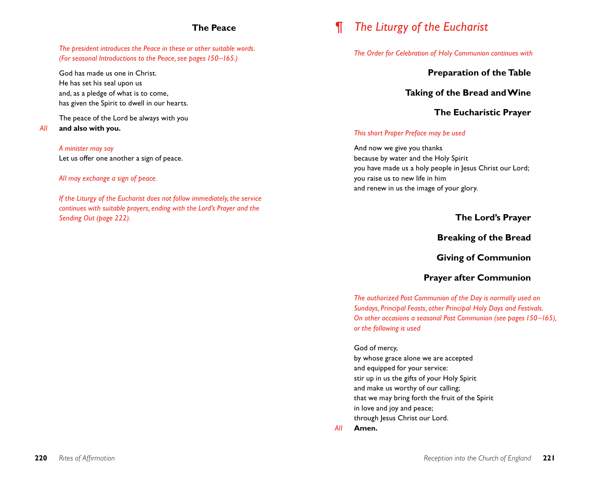## **The Peace**

*The president introduces the Peace in these or other suitable words. (For seasonal Introductions to the Peace, see pages 150–165.)*

God has made us one in Christ. He has set his seal upon us and, as a pledge of what is to come, has given the Spirit to dwell in our hearts.

The peace of the Lord be always with you

*All* **and also with you.**

#### *A minister may say*

Let us offer one another a sign of peace.

#### *All may exchange a sign of peace.*

*If the Liturgy of the Eucharist does not follow immediately, the service continues with suitable prayers, ending with the Lord's Prayer and the Sending Out (page 222).*

# *¶ The Liturgy of the Eucharist*

*The Order for Celebration of Holy Communion continues with*

## **Preparation of the Table**

**Taking of the Bread and Wine**

## **The Eucharistic Prayer**

#### *This short Proper Preface may be used*

And now we give you thanks because by water and the Holy Spirit you have made us a holy people in Jesus Christ our Lord; you raise us to new life in him and renew in us the image of your glory.

## **The Lord's Prayer**

**Breaking of the Bread**

**Giving of Communion**

## **Prayer after Communion**

*The authorized Post Communion of the Day is normally used on Sundays, Principal Feasts, other Principal Holy Days and Festivals. On other occasions a seasonal Post Communion (see pages 150–165), or the following is used*

#### God of mercy,

by whose grace alone we are accepted and equipped for your service: stir up in us the gifts of your Holy Spirit and make us worthy of our calling; that we may bring forth the fruit of the Spirit in love and joy and peace; through Jesus Christ our Lord.

*All* **Amen.**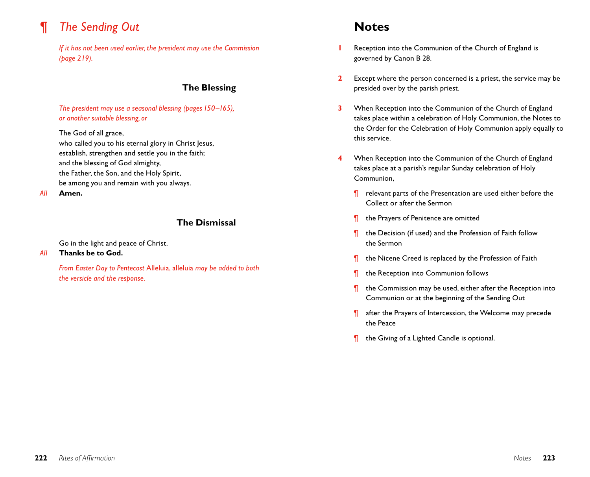# ¶ *The Sending Out*

*If it has not been used earlier, the president may use the Commission (page 219).*

# **The Blessing**

*The president may use a seasonal blessing (pages 150–165), or another suitable blessing, or*

The God of all grace,

who called you to his eternal glory in Christ Jesus, establish, strengthen and settle you in the faith; and the blessing of God almighty, the Father, the Son, and the Holy Spirit, be among you and remain with you always.

*All* **Amen.**

# **The Dismissal**

Go in the light and peace of Christ.

### *All* **Thanks be to God.**

*From Easter Day to Pentecost* Alleluia, alleluia *may be added to both the versicle and the response.*

# **Notes**

- **1** Reception into the Communion of the Church of England is governed by Canon B 28.
- **2** Except where the person concerned is a priest, the service may be presided over by the parish priest.
- **3** When Reception into the Communion of the Church of England takes place within a celebration of Holy Communion, the Notes to the Order for the Celebration of Holy Communion apply equally to this service.
- **4** When Reception into the Communion of the Church of England takes place at a parish's regular Sunday celebration of Holy Communion,
	- ¶ relevant parts of the Presentation are used either before the Collect or after the Sermon
	- **T** the Prayers of Penitence are omitted
	- ¶ the Decision (if used) and the Profession of Faith follow the Sermon
	- ¶ the Nicene Creed is replaced by the Profession of Faith
	- the Reception into Communion follows
	- ¶ the Commission may be used, either after the Reception into Communion or at the beginning of the Sending Out
	- ¶ after the Prayers of Intercession, the Welcome may precede the Peace
	- **T** the Giving of a Lighted Candle is optional.